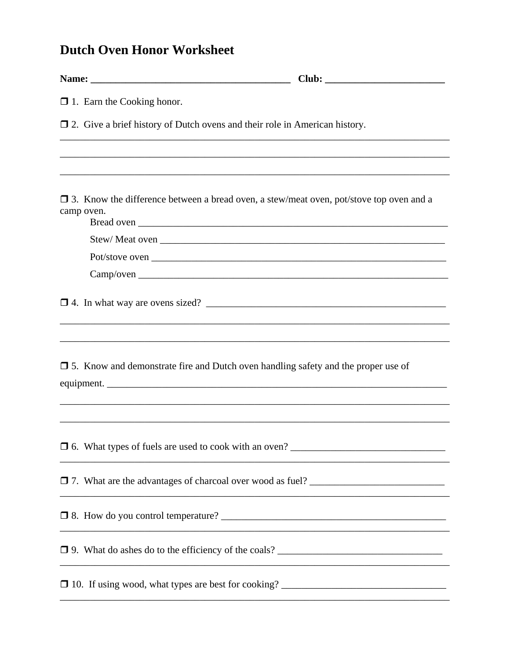## **Dutch Oven Honor Worksheet**

|  | $\Box$ 1. Earn the Cooking honor.                                                                            |
|--|--------------------------------------------------------------------------------------------------------------|
|  | $\Box$ 2. Give a brief history of Dutch ovens and their role in American history.                            |
|  |                                                                                                              |
|  | $\Box$ 3. Know the difference between a bread oven, a stew/meat oven, pot/stove top oven and a<br>camp oven. |
|  |                                                                                                              |
|  |                                                                                                              |
|  |                                                                                                              |
|  |                                                                                                              |
|  | $\Box$ 5. Know and demonstrate fire and Dutch oven handling safety and the proper use of                     |
|  |                                                                                                              |
|  |                                                                                                              |
|  |                                                                                                              |
|  |                                                                                                              |
|  |                                                                                                              |
|  |                                                                                                              |